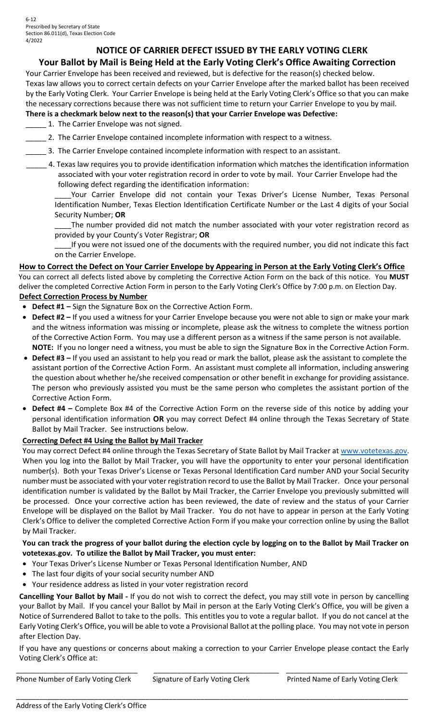# **NOTICE OF CARRIER DEFECT ISSUED BY THE EARLY VOTING CLERK**

# **Your Ballot by Mail is Being Held at the Early Voting Clerk's Office Awaiting Correction**

Your Carrier Envelope has been received and reviewed, but is defective for the reason(s) checked below. Texas law allows you to correct certain defects on your Carrier Envelope after the marked ballot has been received by the Early Voting Clerk. Your Carrier Envelope is being held at the Early Voting Clerk's Office so that you can make the necessary corrections because there was not sufficient time to return your Carrier Envelope to you by mail.

#### **There is a checkmark below next to the reason(s) that your Carrier Envelope was Defective:**

- 1. The Carrier Envelope was not signed.
- 2. The Carrier Envelope contained incomplete information with respect to a witness.
- 3. The Carrier Envelope contained incomplete information with respect to an assistant.
- \_\_\_\_\_ 4. Texas law requires you to provide identification information which matches the identification information associated with your voter registration record in order to vote by mail. Your Carrier Envelope had the following defect regarding the identification information:

Your Carrier Envelope did not contain your Texas Driver's License Number, Texas Personal Identification Number, Texas Election Identification Certificate Number or the Last 4 digits of your Social Security Number; **OR**

The number provided did not match the number associated with your voter registration record as provided by your County's Voter Registrar; **OR** 

If you were not issued one of the documents with the required number, you did not indicate this fact on the Carrier Envelope.

**How to Correct the Defect on Your Carrier Envelope by Appearing in Person at the Early Voting Clerk's Office** You can correct all defects listed above by completing the Corrective Action Form on the back of this notice. You **MUST**  deliver the completed Corrective Action Form in person to the Early Voting Clerk's Office by 7:00 p.m. on Election Day. **Defect Correction Process by Number** 

- **Defect #1 –** Sign the Signature Box on the Corrective Action Form.
- **Defect #2 –** If you used a witness for your Carrier Envelope because you were not able to sign or make your mark and the witness information was missing or incomplete, please ask the witness to complete the witness portion of the Corrective Action Form. You may use a different person as a witness if the same person is not available. **NOTE:** If you no longer need a witness, you must be able to sign the Signature Box in the Corrective Action Form.
- **Defect #3 –** If you used an assistant to help you read or mark the ballot, please ask the assistant to complete the assistant portion of the Corrective Action Form. An assistant must complete all information, including answering the question about whether he/she received compensation or other benefit in exchange for providing assistance. The person who previously assisted you must be the same person who completes the assistant portion of the Corrective Action Form.
- **Defect #4 –** Complete Box #4 of the Corrective Action Form on the reverse side of this notice by adding your personal identification information **OR** you may correct Defect #4 online through the Texas Secretary of State Ballot by Mail Tracker. See instructions below.

### **Correcting Defect #4 Using the Ballot by Mail Tracker**

You may correct Defect #4 online through the Texas Secretary of State Ballot by Mail Tracker at [www.votetexas.gov](http://www.votetexas.gov/). When you log into the Ballot by Mail Tracker, you will have the opportunity to enter your personal identification number(s). Both your Texas Driver's License or Texas Personal Identification Card number AND your Social Security number must be associated with your voter registration record to use the Ballot by Mail Tracker. Once your personal identification number is validated by the Ballot by Mail Tracker, the Carrier Envelope you previously submitted will be processed. Once your corrective action has been reviewed, the date of review and the status of your Carrier Envelope will be displayed on the Ballot by Mail Tracker. You do not have to appear in person at the Early Voting Clerk's Office to deliver the completed Corrective Action Form if you make your correction online by using the Ballot by Mail Tracker.

### **You can track the progress of your ballot during the election cycle by logging on to the Ballot by Mail Tracker on votetexas.gov. To utilize the Ballot by Mail Tracker, you must enter:**

- Your Texas Driver's License Number or Texas Personal Identification Number, AND
- The last four digits of your social security number AND
- Your residence address as listed in your voter registration record

**Cancelling Your Ballot by Mail -** If you do not wish to correct the defect, you may still vote in person by cancelling your Ballot by Mail. If you cancel your Ballot by Mail in person at the Early Voting Clerk's Office, you will be given a Notice of Surrendered Ballot to take to the polls. This entitles you to vote a regular ballot. If you do not cancel at the Early Voting Clerk's Office, you will be able to vote a Provisional Ballot at the polling place. You may not vote in person after Election Day.

If you have any questions or concerns about making a correction to your Carrier Envelope please contact the Early Voting Clerk's Office at:

\_\_\_\_\_\_\_\_\_\_\_\_\_\_\_\_\_\_\_\_\_\_\_\_\_\_\_\_\_\_\_\_\_\_\_\_\_\_\_\_\_\_\_\_\_\_\_\_\_\_\_\_\_\_\_\_\_\_\_\_\_\_\_\_\_\_\_\_\_\_\_\_\_\_\_\_\_\_\_\_\_\_\_\_\_\_\_\_\_\_\_\_\_\_\_\_\_\_\_\_

\_\_\_\_\_\_\_\_\_\_\_\_\_\_\_\_\_\_\_\_\_\_\_\_\_\_\_\_\_\_\_ \_\_\_\_\_\_\_\_\_\_\_\_\_\_\_\_\_\_\_\_\_\_\_\_\_\_\_\_\_\_\_\_ \_\_\_\_\_\_\_\_\_\_\_\_\_\_\_\_\_\_\_\_\_\_\_\_\_\_\_\_\_\_\_ Phone Number of Early Voting Clerk Signature of Early Voting Clerk Printed Name of Early Voting Clerk